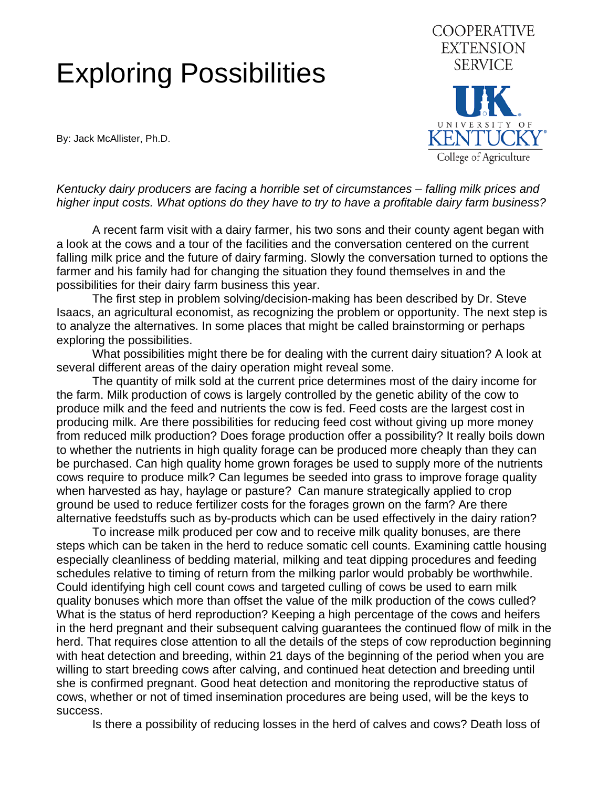## Exploring Possibilities

By: Jack McAllister, Ph.D.



*Kentucky dairy producers are facing a horrible set of circumstances – falling milk prices and higher input costs. What options do they have to try to have a profitable dairy farm business?* 

 A recent farm visit with a dairy farmer, his two sons and their county agent began with a look at the cows and a tour of the facilities and the conversation centered on the current falling milk price and the future of dairy farming. Slowly the conversation turned to options the farmer and his family had for changing the situation they found themselves in and the possibilities for their dairy farm business this year.

 The first step in problem solving/decision-making has been described by Dr. Steve Isaacs, an agricultural economist, as recognizing the problem or opportunity. The next step is to analyze the alternatives. In some places that might be called brainstorming or perhaps exploring the possibilities.

 What possibilities might there be for dealing with the current dairy situation? A look at several different areas of the dairy operation might reveal some.

 The quantity of milk sold at the current price determines most of the dairy income for the farm. Milk production of cows is largely controlled by the genetic ability of the cow to produce milk and the feed and nutrients the cow is fed. Feed costs are the largest cost in producing milk. Are there possibilities for reducing feed cost without giving up more money from reduced milk production? Does forage production offer a possibility? It really boils down to whether the nutrients in high quality forage can be produced more cheaply than they can be purchased. Can high quality home grown forages be used to supply more of the nutrients cows require to produce milk? Can legumes be seeded into grass to improve forage quality when harvested as hay, haylage or pasture? Can manure strategically applied to crop ground be used to reduce fertilizer costs for the forages grown on the farm? Are there alternative feedstuffs such as by-products which can be used effectively in the dairy ration?

 To increase milk produced per cow and to receive milk quality bonuses, are there steps which can be taken in the herd to reduce somatic cell counts. Examining cattle housing especially cleanliness of bedding material, milking and teat dipping procedures and feeding schedules relative to timing of return from the milking parlor would probably be worthwhile. Could identifying high cell count cows and targeted culling of cows be used to earn milk quality bonuses which more than offset the value of the milk production of the cows culled? What is the status of herd reproduction? Keeping a high percentage of the cows and heifers in the herd pregnant and their subsequent calving guarantees the continued flow of milk in the herd. That requires close attention to all the details of the steps of cow reproduction beginning with heat detection and breeding, within 21 days of the beginning of the period when you are willing to start breeding cows after calving, and continued heat detection and breeding until she is confirmed pregnant. Good heat detection and monitoring the reproductive status of cows, whether or not of timed insemination procedures are being used, will be the keys to success.

Is there a possibility of reducing losses in the herd of calves and cows? Death loss of